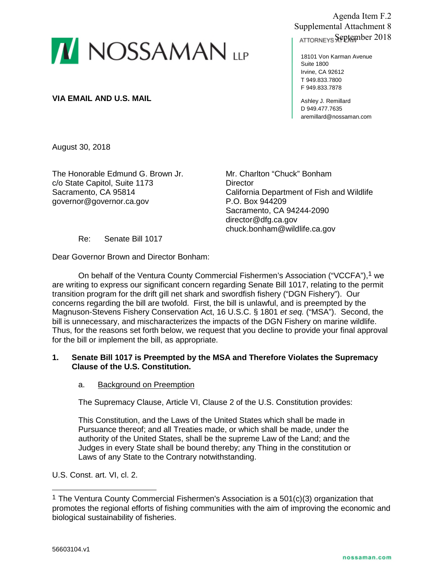

**VIA EMAIL AND U.S. MAIL**

Agenda Item F.2 Supplemental Attachment 8 ATTORNEYS September 2018

18101 Von Karman Avenue Suite 1800 Irvine, CA 92612 T 949.833.7800 F 949.833.7878

Ashley J. Remillard D 949.477.7635 aremillard@nossaman.com

August 30, 2018

The Honorable Edmund G. Brown Jr. c/o State Capitol, Suite 1173 Sacramento, CA 95814 governor@governor.ca.gov

Mr. Charlton "Chuck" Bonham **Director** California Department of Fish and Wildlife P.O. Box 944209 Sacramento, CA 94244-2090 director@dfg.ca.gov chuck.bonham@wildlife.ca.gov

Re: Senate Bill 1017

Dear Governor Brown and Director Bonham:

On behalf of the Ventura County Commercial Fishermen's Association ("VCCFA"),1 we are writing to express our significant concern regarding Senate Bill 1017, relating to the permit transition program for the drift gill net shark and swordfish fishery ("DGN Fishery"). Our concerns regarding the bill are twofold. First, the bill is unlawful, and is preempted by the Magnuson-Stevens Fishery Conservation Act, 16 U.S.C. § 1801 *et seq.* ("MSA"). Second, the bill is unnecessary, and mischaracterizes the impacts of the DGN Fishery on marine wildlife. Thus, for the reasons set forth below, we request that you decline to provide your final approval for the bill or implement the bill, as appropriate.

# **1. Senate Bill 1017 is Preempted by the MSA and Therefore Violates the Supremacy Clause of the U.S. Constitution.**

# a. Background on Preemption

The Supremacy Clause, Article VI, Clause 2 of the U.S. Constitution provides:

This Constitution, and the Laws of the United States which shall be made in Pursuance thereof; and all Treaties made, or which shall be made, under the authority of the United States, shall be the supreme Law of the Land; and the Judges in every State shall be bound thereby; any Thing in the constitution or Laws of any State to the Contrary notwithstanding.

U.S. Const. art. VI, cl. 2.

<sup>&</sup>lt;sup>1</sup> The Ventura County Commercial Fishermen's Association is a 501(c)(3) organization that promotes the regional efforts of fishing communities with the aim of improving the economic and biological sustainability of fisheries.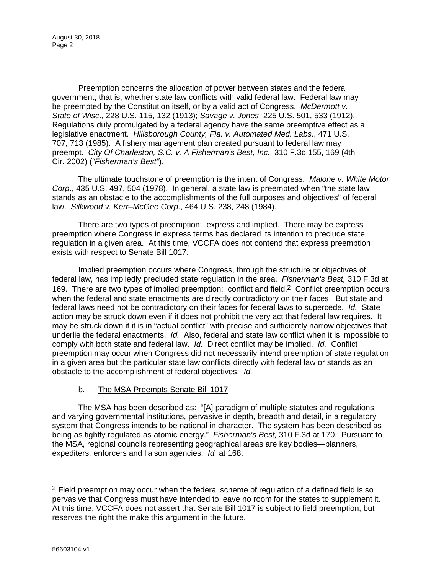August 30, 2018 Page 2

Preemption concerns the allocation of power between states and the federal government; that is, whether state law conflicts with valid federal law. Federal law may be preempted by the Constitution itself, or by a valid act of Congress. *McDermott v. State of Wisc*., 228 U.S. 115, 132 (1913); *Savage v. Jones*, 225 U.S. 501, 533 (1912). Regulations duly promulgated by a federal agency have the same preemptive effect as a legislative enactment. *Hillsborough County, Fla. v. Automated Med. Labs*., 471 U.S. 707, 713 (1985). A fishery management plan created pursuant to federal law may preempt. *City Of Charleston, S.C. v. A Fisherman's Best, Inc.*, 310 F.3d 155, 169 (4th Cir. 2002) (*"Fisherman's Best"*).

The ultimate touchstone of preemption is the intent of Congress. *Malone v. White Motor Corp*., 435 U.S. 497, 504 (1978). In general, a state law is preempted when "the state law stands as an obstacle to the accomplishments of the full purposes and objectives" of federal law. *Silkwood v. Kerr–McGee Corp*., 464 U.S. 238, 248 (1984).

There are two types of preemption: express and implied. There may be express preemption where Congress in express terms has declared its intention to preclude state regulation in a given area. At this time, VCCFA does not contend that express preemption exists with respect to Senate Bill 1017.

Implied preemption occurs where Congress, through the structure or objectives of federal law, has impliedly precluded state regulation in the area. *Fisherman's Best,* 310 F.3d at 169. There are two types of implied preemption: conflict and field.<sup>2</sup> Conflict preemption occurs when the federal and state enactments are directly contradictory on their faces. But state and federal laws need not be contradictory on their faces for federal laws to supercede. *Id.* State action may be struck down even if it does not prohibit the very act that federal law requires. It may be struck down if it is in "actual conflict" with precise and sufficiently narrow objectives that underlie the federal enactments. *Id.* Also, federal and state law conflict when it is impossible to comply with both state and federal law. *Id.* Direct conflict may be implied. *Id.* Conflict preemption may occur when Congress did not necessarily intend preemption of state regulation in a given area but the particular state law conflicts directly with federal law or stands as an obstacle to the accomplishment of federal objectives. *Id.*

# b. The MSA Preempts Senate Bill 1017

The MSA has been described as: "[A] paradigm of multiple statutes and regulations, and varying governmental institutions, pervasive in depth, breadth and detail, in a regulatory system that Congress intends to be national in character. The system has been described as being as tightly regulated as atomic energy." *Fisherman's Best,* 310 F.3d at 170. Pursuant to the MSA, regional councils representing geographical areas are key bodies—planners, expediters, enforcers and liaison agencies. *Id.* at 168.

 $2$  Field preemption may occur when the federal scheme of regulation of a defined field is so pervasive that Congress must have intended to leave no room for the states to supplement it. At this time, VCCFA does not assert that Senate Bill 1017 is subject to field preemption, but reserves the right the make this argument in the future.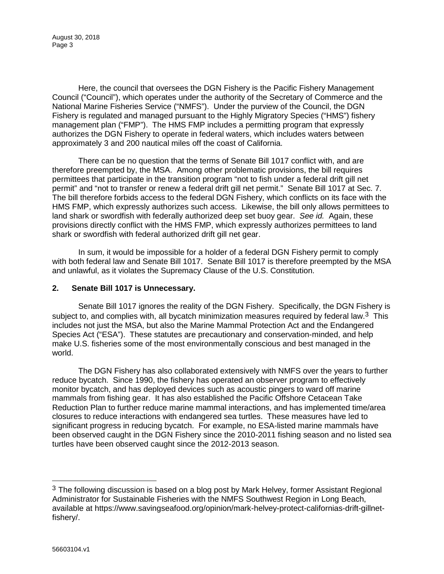August 30, 2018 Page 3

Here, the council that oversees the DGN Fishery is the Pacific Fishery Management Council ("Council"), which operates under the authority of the Secretary of Commerce and the National Marine Fisheries Service ("NMFS"). Under the purview of the Council, the DGN Fishery is regulated and managed pursuant to the Highly Migratory Species ("HMS") fishery management plan ("FMP"). The HMS FMP includes a permitting program that expressly authorizes the DGN Fishery to operate in federal waters, which includes waters between approximately 3 and 200 nautical miles off the coast of California.

There can be no question that the terms of Senate Bill 1017 conflict with, and are therefore preempted by, the MSA. Among other problematic provisions, the bill requires permittees that participate in the transition program "not to fish under a federal drift gill net permit" and "not to transfer or renew a federal drift gill net permit." Senate Bill 1017 at Sec. 7. The bill therefore forbids access to the federal DGN Fishery, which conflicts on its face with the HMS FMP, which expressly authorizes such access. Likewise, the bill only allows permittees to land shark or swordfish with federally authorized deep set buoy gear. *See id.* Again, these provisions directly conflict with the HMS FMP, which expressly authorizes permittees to land shark or swordfish with federal authorized drift gill net gear.

In sum, it would be impossible for a holder of a federal DGN Fishery permit to comply with both federal law and Senate Bill 1017. Senate Bill 1017 is therefore preempted by the MSA and unlawful, as it violates the Supremacy Clause of the U.S. Constitution.

## **2. Senate Bill 1017 is Unnecessary.**

Senate Bill 1017 ignores the reality of the DGN Fishery. Specifically, the DGN Fishery is subject to, and complies with, all bycatch minimization measures required by federal law.<sup>3</sup> This includes not just the MSA, but also the Marine Mammal Protection Act and the Endangered Species Act ("ESA"). These statutes are precautionary and conservation-minded, and help make U.S. fisheries some of the most environmentally conscious and best managed in the world.

The DGN Fishery has also collaborated extensively with NMFS over the years to further reduce bycatch. Since 1990, the fishery has operated an observer program to effectively monitor bycatch, and has deployed devices such as acoustic pingers to ward off marine mammals from fishing gear. It has also established the Pacific Offshore Cetacean Take Reduction Plan to further reduce marine mammal interactions, and has implemented time/area closures to reduce interactions with endangered sea turtles. These measures have led to significant progress in reducing bycatch. For example, no ESA-listed marine mammals have been observed caught in the DGN Fishery since the 2010-2011 fishing season and no listed sea turtles have been observed caught since the 2012-2013 season.

 $3$  The following discussion is based on a blog post by Mark Helvey, former Assistant Regional Administrator for Sustainable Fisheries with the NMFS Southwest Region in Long Beach, available at https://www.savingseafood.org/opinion/mark-helvey-protect-californias-drift-gillnetfishery/.